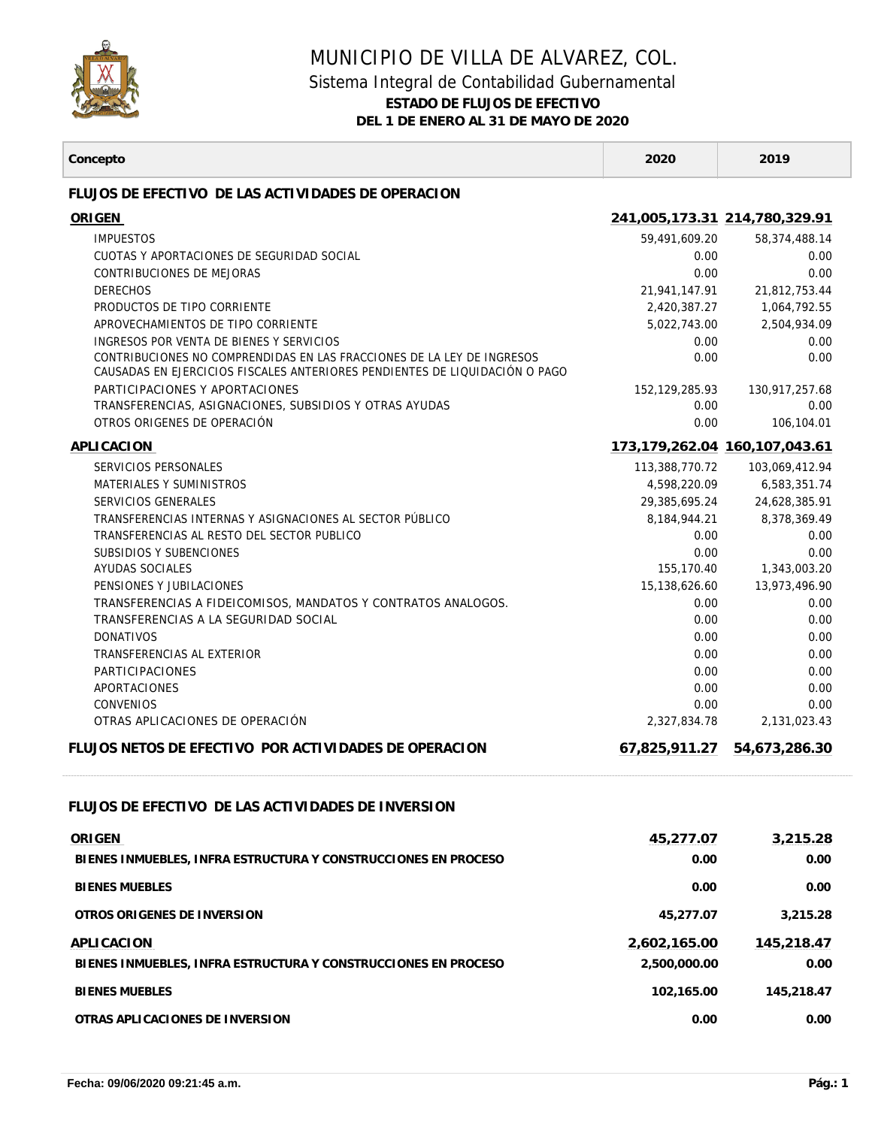

## MUNICIPIO DE VILLA DE ALVAREZ, COL. Sistema Integral de Contabilidad Gubernamental

**ESTADO DE FLUJOS DE EFECTIVO**

**DEL 1 DE ENERO AL 31 DE MAYO DE 2020**

┱

| FLUJOS DE EFECTIVO DE LAS ACTIVIDADES DE OPERACION<br>ORIGEN<br>241,005,173.31 214,780,329.91<br><b>IMPUESTOS</b><br>59,491,609.20<br>58,374,488.14<br>CUOTAS Y APORTACIONES DE SEGURIDAD SOCIAL<br>0.00<br>0.00<br>CONTRIBUCIONES DE MEJORAS<br>0.00<br>0.00<br><b>DERECHOS</b><br>21,941,147.91<br>21,812,753.44<br>PRODUCTOS DE TIPO CORRIENTE<br>2,420,387.27<br>1,064,792.55<br>APROVECHAMIENTOS DE TIPO CORRIENTE<br>2,504,934.09<br>5,022,743.00<br>INGRESOS POR VENTA DE BIENES Y SERVICIOS<br>0.00<br>0.00<br>CONTRIBUCIONES NO COMPRENDIDAS EN LAS FRACCIONES DE LA LEY DE INGRESOS<br>0.00<br>0.00<br>CAUSADAS EN EJERCICIOS FISCALES ANTERIORES PENDIENTES DE LIQUIDACIÓN O PAGO<br>PARTICIPACIONES Y APORTACIONES<br>152, 129, 285. 93<br>130,917,257.68<br>TRANSFERENCIAS, ASIGNACIONES, SUBSIDIOS Y OTRAS AYUDAS<br>0.00<br>0.00<br>OTROS ORIGENES DE OPERACIÓN<br>0.00<br>106,104.01<br>APLICACION<br>173,179,262.04 160,107,043.61<br>SERVICIOS PERSONALES<br>113,388,770.72<br>103,069,412.94<br>MATERIALES Y SUMINISTROS<br>4,598,220.09<br>6,583,351.74<br>SERVICIOS GENERALES<br>29,385,695.24<br>24,628,385.91<br>TRANSFERENCIAS INTERNAS Y ASIGNACIONES AL SECTOR PÚBLICO<br>8,184,944.21<br>8,378,369.49<br>TRANSFERENCIAS AL RESTO DEL SECTOR PUBLICO<br>0.00<br>0.00<br>SUBSIDIOS Y SUBENCIONES<br>0.00<br>0.00<br>AYUDAS SOCIALES<br>155,170.40<br>1,343,003.20<br>PENSIONES Y JUBILACIONES<br>15,138,626.60<br>13,973,496.90<br>TRANSFERENCIAS A FIDEICOMISOS, MANDATOS Y CONTRATOS ANALOGOS.<br>0.00<br>0.00<br>TRANSFERENCIAS A LA SEGURIDAD SOCIAL<br>0.00<br>0.00<br><b>DONATIVOS</b><br>0.00<br>0.00<br>TRANSFERENCIAS AL EXTERIOR<br>0.00<br>0.00<br><b>PARTICIPACIONES</b><br>0.00<br>0.00<br>APORTACIONES<br>0.00<br>0.00<br><b>CONVENIOS</b><br>0.00<br>0.00<br>OTRAS APLICACIONES DE OPERACIÓN<br>2,327,834.78<br>2,131,023.43<br>FLUJOS NETOS DE EFECTIVO POR ACTIVIDADES DE OPERACION<br>67,825,911.27<br>54,673,286.30<br>FLUJOS DE EFECTIVO DE LAS ACTIVIDADES DE INVERSION<br>ORIGEN<br>45,277.07<br>3,215.28<br>0.00<br>BIENES INMUEBLES, INFRA ESTRUCTURA Y CONSTRUCCIONES EN PROCESO<br>0.00<br><b>BIENES MUEBLES</b><br>0.00<br>0.00<br>OTROS ORIGENES DE INVERSION<br>45,277.07<br>3,215.28<br>APLICACION<br>2,602,165.00<br>145,218.47<br>2,500,000.00<br>BIENES INMUEBLES. INFRA ESTRUCTURA Y CONSTRUCCIONES EN PROCESO<br>0.00<br><b>BIENES MUEBLES</b><br>102,165.00<br>145,218.47<br>OTRAS APLICACIONES DE INVERSION<br>0.00<br>0.00 | Concepto | 2020 | 2019 |
|-------------------------------------------------------------------------------------------------------------------------------------------------------------------------------------------------------------------------------------------------------------------------------------------------------------------------------------------------------------------------------------------------------------------------------------------------------------------------------------------------------------------------------------------------------------------------------------------------------------------------------------------------------------------------------------------------------------------------------------------------------------------------------------------------------------------------------------------------------------------------------------------------------------------------------------------------------------------------------------------------------------------------------------------------------------------------------------------------------------------------------------------------------------------------------------------------------------------------------------------------------------------------------------------------------------------------------------------------------------------------------------------------------------------------------------------------------------------------------------------------------------------------------------------------------------------------------------------------------------------------------------------------------------------------------------------------------------------------------------------------------------------------------------------------------------------------------------------------------------------------------------------------------------------------------------------------------------------------------------------------------------------------------------------------------------------------------------------------------------------------------------------------------------------------------------------------------------------------------------------------------------------------------------------------------------------------------------------------------------------------------------------------------------------------------------------------------------------------------------------|----------|------|------|
|                                                                                                                                                                                                                                                                                                                                                                                                                                                                                                                                                                                                                                                                                                                                                                                                                                                                                                                                                                                                                                                                                                                                                                                                                                                                                                                                                                                                                                                                                                                                                                                                                                                                                                                                                                                                                                                                                                                                                                                                                                                                                                                                                                                                                                                                                                                                                                                                                                                                                           |          |      |      |
|                                                                                                                                                                                                                                                                                                                                                                                                                                                                                                                                                                                                                                                                                                                                                                                                                                                                                                                                                                                                                                                                                                                                                                                                                                                                                                                                                                                                                                                                                                                                                                                                                                                                                                                                                                                                                                                                                                                                                                                                                                                                                                                                                                                                                                                                                                                                                                                                                                                                                           |          |      |      |
|                                                                                                                                                                                                                                                                                                                                                                                                                                                                                                                                                                                                                                                                                                                                                                                                                                                                                                                                                                                                                                                                                                                                                                                                                                                                                                                                                                                                                                                                                                                                                                                                                                                                                                                                                                                                                                                                                                                                                                                                                                                                                                                                                                                                                                                                                                                                                                                                                                                                                           |          |      |      |
|                                                                                                                                                                                                                                                                                                                                                                                                                                                                                                                                                                                                                                                                                                                                                                                                                                                                                                                                                                                                                                                                                                                                                                                                                                                                                                                                                                                                                                                                                                                                                                                                                                                                                                                                                                                                                                                                                                                                                                                                                                                                                                                                                                                                                                                                                                                                                                                                                                                                                           |          |      |      |
|                                                                                                                                                                                                                                                                                                                                                                                                                                                                                                                                                                                                                                                                                                                                                                                                                                                                                                                                                                                                                                                                                                                                                                                                                                                                                                                                                                                                                                                                                                                                                                                                                                                                                                                                                                                                                                                                                                                                                                                                                                                                                                                                                                                                                                                                                                                                                                                                                                                                                           |          |      |      |
|                                                                                                                                                                                                                                                                                                                                                                                                                                                                                                                                                                                                                                                                                                                                                                                                                                                                                                                                                                                                                                                                                                                                                                                                                                                                                                                                                                                                                                                                                                                                                                                                                                                                                                                                                                                                                                                                                                                                                                                                                                                                                                                                                                                                                                                                                                                                                                                                                                                                                           |          |      |      |
|                                                                                                                                                                                                                                                                                                                                                                                                                                                                                                                                                                                                                                                                                                                                                                                                                                                                                                                                                                                                                                                                                                                                                                                                                                                                                                                                                                                                                                                                                                                                                                                                                                                                                                                                                                                                                                                                                                                                                                                                                                                                                                                                                                                                                                                                                                                                                                                                                                                                                           |          |      |      |
|                                                                                                                                                                                                                                                                                                                                                                                                                                                                                                                                                                                                                                                                                                                                                                                                                                                                                                                                                                                                                                                                                                                                                                                                                                                                                                                                                                                                                                                                                                                                                                                                                                                                                                                                                                                                                                                                                                                                                                                                                                                                                                                                                                                                                                                                                                                                                                                                                                                                                           |          |      |      |
|                                                                                                                                                                                                                                                                                                                                                                                                                                                                                                                                                                                                                                                                                                                                                                                                                                                                                                                                                                                                                                                                                                                                                                                                                                                                                                                                                                                                                                                                                                                                                                                                                                                                                                                                                                                                                                                                                                                                                                                                                                                                                                                                                                                                                                                                                                                                                                                                                                                                                           |          |      |      |
|                                                                                                                                                                                                                                                                                                                                                                                                                                                                                                                                                                                                                                                                                                                                                                                                                                                                                                                                                                                                                                                                                                                                                                                                                                                                                                                                                                                                                                                                                                                                                                                                                                                                                                                                                                                                                                                                                                                                                                                                                                                                                                                                                                                                                                                                                                                                                                                                                                                                                           |          |      |      |
|                                                                                                                                                                                                                                                                                                                                                                                                                                                                                                                                                                                                                                                                                                                                                                                                                                                                                                                                                                                                                                                                                                                                                                                                                                                                                                                                                                                                                                                                                                                                                                                                                                                                                                                                                                                                                                                                                                                                                                                                                                                                                                                                                                                                                                                                                                                                                                                                                                                                                           |          |      |      |
|                                                                                                                                                                                                                                                                                                                                                                                                                                                                                                                                                                                                                                                                                                                                                                                                                                                                                                                                                                                                                                                                                                                                                                                                                                                                                                                                                                                                                                                                                                                                                                                                                                                                                                                                                                                                                                                                                                                                                                                                                                                                                                                                                                                                                                                                                                                                                                                                                                                                                           |          |      |      |
|                                                                                                                                                                                                                                                                                                                                                                                                                                                                                                                                                                                                                                                                                                                                                                                                                                                                                                                                                                                                                                                                                                                                                                                                                                                                                                                                                                                                                                                                                                                                                                                                                                                                                                                                                                                                                                                                                                                                                                                                                                                                                                                                                                                                                                                                                                                                                                                                                                                                                           |          |      |      |
|                                                                                                                                                                                                                                                                                                                                                                                                                                                                                                                                                                                                                                                                                                                                                                                                                                                                                                                                                                                                                                                                                                                                                                                                                                                                                                                                                                                                                                                                                                                                                                                                                                                                                                                                                                                                                                                                                                                                                                                                                                                                                                                                                                                                                                                                                                                                                                                                                                                                                           |          |      |      |
|                                                                                                                                                                                                                                                                                                                                                                                                                                                                                                                                                                                                                                                                                                                                                                                                                                                                                                                                                                                                                                                                                                                                                                                                                                                                                                                                                                                                                                                                                                                                                                                                                                                                                                                                                                                                                                                                                                                                                                                                                                                                                                                                                                                                                                                                                                                                                                                                                                                                                           |          |      |      |
|                                                                                                                                                                                                                                                                                                                                                                                                                                                                                                                                                                                                                                                                                                                                                                                                                                                                                                                                                                                                                                                                                                                                                                                                                                                                                                                                                                                                                                                                                                                                                                                                                                                                                                                                                                                                                                                                                                                                                                                                                                                                                                                                                                                                                                                                                                                                                                                                                                                                                           |          |      |      |
|                                                                                                                                                                                                                                                                                                                                                                                                                                                                                                                                                                                                                                                                                                                                                                                                                                                                                                                                                                                                                                                                                                                                                                                                                                                                                                                                                                                                                                                                                                                                                                                                                                                                                                                                                                                                                                                                                                                                                                                                                                                                                                                                                                                                                                                                                                                                                                                                                                                                                           |          |      |      |
|                                                                                                                                                                                                                                                                                                                                                                                                                                                                                                                                                                                                                                                                                                                                                                                                                                                                                                                                                                                                                                                                                                                                                                                                                                                                                                                                                                                                                                                                                                                                                                                                                                                                                                                                                                                                                                                                                                                                                                                                                                                                                                                                                                                                                                                                                                                                                                                                                                                                                           |          |      |      |
|                                                                                                                                                                                                                                                                                                                                                                                                                                                                                                                                                                                                                                                                                                                                                                                                                                                                                                                                                                                                                                                                                                                                                                                                                                                                                                                                                                                                                                                                                                                                                                                                                                                                                                                                                                                                                                                                                                                                                                                                                                                                                                                                                                                                                                                                                                                                                                                                                                                                                           |          |      |      |
|                                                                                                                                                                                                                                                                                                                                                                                                                                                                                                                                                                                                                                                                                                                                                                                                                                                                                                                                                                                                                                                                                                                                                                                                                                                                                                                                                                                                                                                                                                                                                                                                                                                                                                                                                                                                                                                                                                                                                                                                                                                                                                                                                                                                                                                                                                                                                                                                                                                                                           |          |      |      |
|                                                                                                                                                                                                                                                                                                                                                                                                                                                                                                                                                                                                                                                                                                                                                                                                                                                                                                                                                                                                                                                                                                                                                                                                                                                                                                                                                                                                                                                                                                                                                                                                                                                                                                                                                                                                                                                                                                                                                                                                                                                                                                                                                                                                                                                                                                                                                                                                                                                                                           |          |      |      |
|                                                                                                                                                                                                                                                                                                                                                                                                                                                                                                                                                                                                                                                                                                                                                                                                                                                                                                                                                                                                                                                                                                                                                                                                                                                                                                                                                                                                                                                                                                                                                                                                                                                                                                                                                                                                                                                                                                                                                                                                                                                                                                                                                                                                                                                                                                                                                                                                                                                                                           |          |      |      |
|                                                                                                                                                                                                                                                                                                                                                                                                                                                                                                                                                                                                                                                                                                                                                                                                                                                                                                                                                                                                                                                                                                                                                                                                                                                                                                                                                                                                                                                                                                                                                                                                                                                                                                                                                                                                                                                                                                                                                                                                                                                                                                                                                                                                                                                                                                                                                                                                                                                                                           |          |      |      |
|                                                                                                                                                                                                                                                                                                                                                                                                                                                                                                                                                                                                                                                                                                                                                                                                                                                                                                                                                                                                                                                                                                                                                                                                                                                                                                                                                                                                                                                                                                                                                                                                                                                                                                                                                                                                                                                                                                                                                                                                                                                                                                                                                                                                                                                                                                                                                                                                                                                                                           |          |      |      |
|                                                                                                                                                                                                                                                                                                                                                                                                                                                                                                                                                                                                                                                                                                                                                                                                                                                                                                                                                                                                                                                                                                                                                                                                                                                                                                                                                                                                                                                                                                                                                                                                                                                                                                                                                                                                                                                                                                                                                                                                                                                                                                                                                                                                                                                                                                                                                                                                                                                                                           |          |      |      |
|                                                                                                                                                                                                                                                                                                                                                                                                                                                                                                                                                                                                                                                                                                                                                                                                                                                                                                                                                                                                                                                                                                                                                                                                                                                                                                                                                                                                                                                                                                                                                                                                                                                                                                                                                                                                                                                                                                                                                                                                                                                                                                                                                                                                                                                                                                                                                                                                                                                                                           |          |      |      |
|                                                                                                                                                                                                                                                                                                                                                                                                                                                                                                                                                                                                                                                                                                                                                                                                                                                                                                                                                                                                                                                                                                                                                                                                                                                                                                                                                                                                                                                                                                                                                                                                                                                                                                                                                                                                                                                                                                                                                                                                                                                                                                                                                                                                                                                                                                                                                                                                                                                                                           |          |      |      |
|                                                                                                                                                                                                                                                                                                                                                                                                                                                                                                                                                                                                                                                                                                                                                                                                                                                                                                                                                                                                                                                                                                                                                                                                                                                                                                                                                                                                                                                                                                                                                                                                                                                                                                                                                                                                                                                                                                                                                                                                                                                                                                                                                                                                                                                                                                                                                                                                                                                                                           |          |      |      |
|                                                                                                                                                                                                                                                                                                                                                                                                                                                                                                                                                                                                                                                                                                                                                                                                                                                                                                                                                                                                                                                                                                                                                                                                                                                                                                                                                                                                                                                                                                                                                                                                                                                                                                                                                                                                                                                                                                                                                                                                                                                                                                                                                                                                                                                                                                                                                                                                                                                                                           |          |      |      |
|                                                                                                                                                                                                                                                                                                                                                                                                                                                                                                                                                                                                                                                                                                                                                                                                                                                                                                                                                                                                                                                                                                                                                                                                                                                                                                                                                                                                                                                                                                                                                                                                                                                                                                                                                                                                                                                                                                                                                                                                                                                                                                                                                                                                                                                                                                                                                                                                                                                                                           |          |      |      |
|                                                                                                                                                                                                                                                                                                                                                                                                                                                                                                                                                                                                                                                                                                                                                                                                                                                                                                                                                                                                                                                                                                                                                                                                                                                                                                                                                                                                                                                                                                                                                                                                                                                                                                                                                                                                                                                                                                                                                                                                                                                                                                                                                                                                                                                                                                                                                                                                                                                                                           |          |      |      |
|                                                                                                                                                                                                                                                                                                                                                                                                                                                                                                                                                                                                                                                                                                                                                                                                                                                                                                                                                                                                                                                                                                                                                                                                                                                                                                                                                                                                                                                                                                                                                                                                                                                                                                                                                                                                                                                                                                                                                                                                                                                                                                                                                                                                                                                                                                                                                                                                                                                                                           |          |      |      |
|                                                                                                                                                                                                                                                                                                                                                                                                                                                                                                                                                                                                                                                                                                                                                                                                                                                                                                                                                                                                                                                                                                                                                                                                                                                                                                                                                                                                                                                                                                                                                                                                                                                                                                                                                                                                                                                                                                                                                                                                                                                                                                                                                                                                                                                                                                                                                                                                                                                                                           |          |      |      |
|                                                                                                                                                                                                                                                                                                                                                                                                                                                                                                                                                                                                                                                                                                                                                                                                                                                                                                                                                                                                                                                                                                                                                                                                                                                                                                                                                                                                                                                                                                                                                                                                                                                                                                                                                                                                                                                                                                                                                                                                                                                                                                                                                                                                                                                                                                                                                                                                                                                                                           |          |      |      |
|                                                                                                                                                                                                                                                                                                                                                                                                                                                                                                                                                                                                                                                                                                                                                                                                                                                                                                                                                                                                                                                                                                                                                                                                                                                                                                                                                                                                                                                                                                                                                                                                                                                                                                                                                                                                                                                                                                                                                                                                                                                                                                                                                                                                                                                                                                                                                                                                                                                                                           |          |      |      |
|                                                                                                                                                                                                                                                                                                                                                                                                                                                                                                                                                                                                                                                                                                                                                                                                                                                                                                                                                                                                                                                                                                                                                                                                                                                                                                                                                                                                                                                                                                                                                                                                                                                                                                                                                                                                                                                                                                                                                                                                                                                                                                                                                                                                                                                                                                                                                                                                                                                                                           |          |      |      |
|                                                                                                                                                                                                                                                                                                                                                                                                                                                                                                                                                                                                                                                                                                                                                                                                                                                                                                                                                                                                                                                                                                                                                                                                                                                                                                                                                                                                                                                                                                                                                                                                                                                                                                                                                                                                                                                                                                                                                                                                                                                                                                                                                                                                                                                                                                                                                                                                                                                                                           |          |      |      |
|                                                                                                                                                                                                                                                                                                                                                                                                                                                                                                                                                                                                                                                                                                                                                                                                                                                                                                                                                                                                                                                                                                                                                                                                                                                                                                                                                                                                                                                                                                                                                                                                                                                                                                                                                                                                                                                                                                                                                                                                                                                                                                                                                                                                                                                                                                                                                                                                                                                                                           |          |      |      |
|                                                                                                                                                                                                                                                                                                                                                                                                                                                                                                                                                                                                                                                                                                                                                                                                                                                                                                                                                                                                                                                                                                                                                                                                                                                                                                                                                                                                                                                                                                                                                                                                                                                                                                                                                                                                                                                                                                                                                                                                                                                                                                                                                                                                                                                                                                                                                                                                                                                                                           |          |      |      |